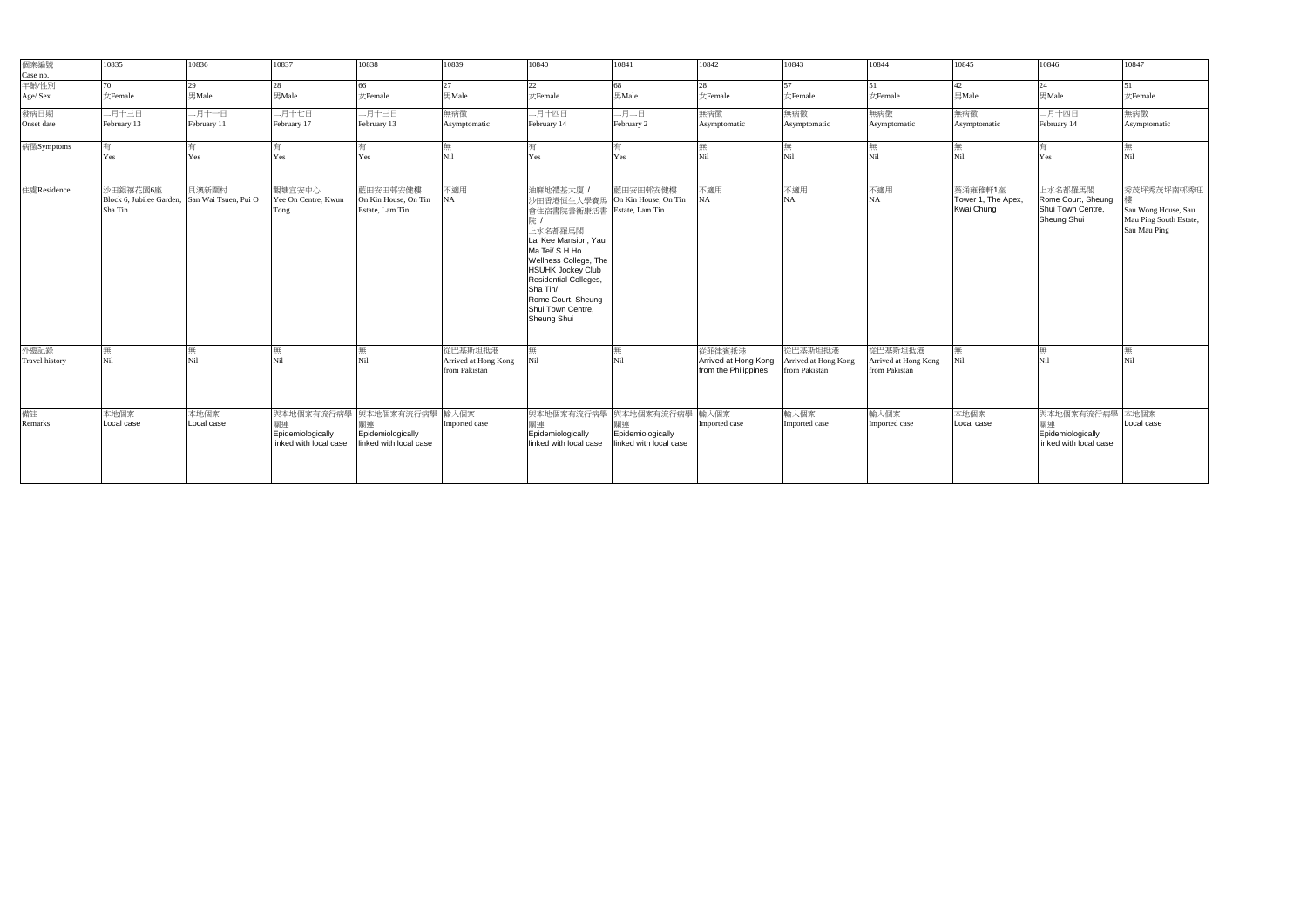| 個案編號<br>Case no.<br>年齡/性別     | 10835               | 10836                                                  | 10837                                                           | 10838                                                     | 10839                                            | 10840                                                                                                                                                                                                                                        | 10841                                                                           | 10842                                                  | 10843                                            | 10844                                            | 10845                                       | 10846                                                             | 10847                                                                       |
|-------------------------------|---------------------|--------------------------------------------------------|-----------------------------------------------------------------|-----------------------------------------------------------|--------------------------------------------------|----------------------------------------------------------------------------------------------------------------------------------------------------------------------------------------------------------------------------------------------|---------------------------------------------------------------------------------|--------------------------------------------------------|--------------------------------------------------|--------------------------------------------------|---------------------------------------------|-------------------------------------------------------------------|-----------------------------------------------------------------------------|
|                               | 70.                 | 29                                                     | 28                                                              | 66                                                        | 27                                               | 22                                                                                                                                                                                                                                           | 68                                                                              | 28                                                     | 57                                               | 51                                               | 42                                          | 24                                                                | 51                                                                          |
| Age/Sex                       | 女Female             | 男Male                                                  | 男Male                                                           | 女Female                                                   | 男Male                                            | 女Female                                                                                                                                                                                                                                      | 男Male                                                                           | 女Female                                                | 女Female                                          | 女Female                                          | 男Male                                       | 男Male                                                             | 女Female                                                                     |
| 發病日期                          | 二月十三日               | 二月十一日                                                  | 二月十七日                                                           | 二月十三日                                                     | 無病徵                                              | 二月十四日                                                                                                                                                                                                                                        | 二月二日                                                                            | 無病徵                                                    | 無病徵                                              | 無病徵                                              | 無病徵                                         | 二月十四日                                                             | 無病徵                                                                         |
| Onset date                    | February 13         | February 11                                            | February 17                                                     | February 13                                               | Asymptomatic                                     | February 14                                                                                                                                                                                                                                  | February 2                                                                      | Asymptomatic                                           | Asymptomatic                                     | Asymptomatic                                     | Asymptomatic                                | February 14                                                       | Asymptomatic                                                                |
| 病徵Symptoms                    |                     |                                                        |                                                                 |                                                           |                                                  |                                                                                                                                                                                                                                              |                                                                                 |                                                        |                                                  |                                                  |                                             |                                                                   |                                                                             |
|                               | Yes                 | Yes                                                    | Yes                                                             | Yes                                                       | Nil                                              | Yes                                                                                                                                                                                                                                          | Yes                                                                             | Nil                                                    | Nil                                              | Nil                                              | Ni1                                         | Yes                                                               | <b>Nil</b>                                                                  |
| 住處Residence                   | 少田銀禧花園6座<br>Sha Tin | 貝澳新圍村<br>Block 6, Jubilee Garden, San Wai Tsuen, Pui O | 觀塘宜安中心<br>Yee On Centre, Kwun<br>Tong                           | 藍田安田邨安健樓<br>On Kin House, On Tin<br>Estate, Lam Tin       | 不適用<br>NA                                        | 油麻地禮基大廈<br>沙田香港恒生大學賽馬<br>會住宿書院善衡康活書<br>上水名都羅馬閣<br>Lai Kee Mansion, Yau<br>Ma Tei/ S H Ho<br>Wellness College, The<br><b>HSUHK Jockey Club</b><br>Residential Colleges,<br>Sha Tin/<br>Rome Court, Sheung<br>Shui Town Centre,<br>Sheung Shui | 藍田安田邨安健樓<br>On Kin House, On Tin<br>Estate, Lam Tin                             | 不適用<br><b>NA</b>                                       | 不適用<br><b>NA</b>                                 | 不適用<br>NA                                        | 葵涌雍雅軒1座<br>Tower 1, The Apex,<br>Kwai Chung | 上水名都羅馬閣<br>Rome Court, Sheung<br>Shui Town Centre,<br>Sheung Shui | 秀茂坪秀茂坪南邨秀旺<br>Sau Wong House, Sau<br>Mau Ping South Estate,<br>Sau Mau Ping |
| 外遊記錄<br><b>Travel history</b> | Nil                 | 無<br>Nil                                               | Nil                                                             | 無<br>Nil                                                  | 從巴基斯坦抵港<br>Arrived at Hong Kong<br>from Pakistan | Nil                                                                                                                                                                                                                                          |                                                                                 | 從菲律賓抵港<br>Arrived at Hong Kong<br>from the Philippines | 论巴基斯坦抵港<br>Arrived at Hong Kong<br>from Pakistan | 從巴基斯坦抵港<br>Arrived at Hong Kong<br>from Pakistan | 鈿<br>Nil                                    | 俪<br>Nil                                                          | 無<br>Nil                                                                    |
| 備註<br>Remarks                 | 本地個案<br>Local case  | 本地個案<br>Local case                                     | 與本地個案有流行病學<br>關連<br>Epidemiologically<br>linked with local case | 與本地個案有流行病學<br>Epidemiologically<br>linked with local case | 輸入個案<br>Imported case                            | 關連<br>Epidemiologically<br>linked with local case                                                                                                                                                                                            | 與本地個案有流行病學 與本地個案有流行病學 輸入個案<br>關連<br>Epidemiologically<br>linked with local case | Imported case                                          | 輸入個案<br>Imported case                            | 輸入個案<br>Imported case                            | 本地個案<br>Local case                          | 與本地個案有流行病學<br>關連<br>Epidemiologically<br>linked with local case   | 本地個案<br>Local case                                                          |